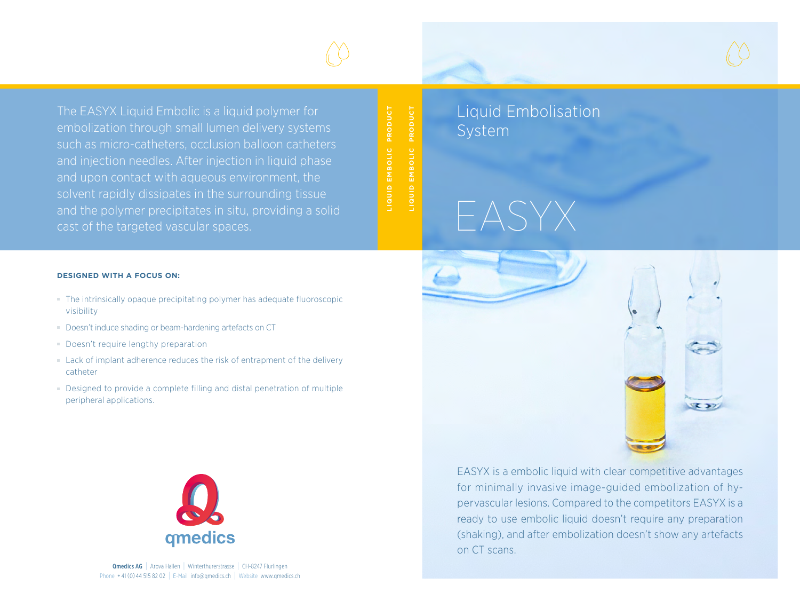

The EASYX Liquid Embolic is a liquid polymer for embolization through small lumen delivery systems such as micro-catheters, occlusion balloon catheters and injection needles. After injection in liquid phase and upon contact with aqueous environment, the solvent rapidly dissipates in the surrounding tissue and the polymer precipitates in situ, providing a solid cast of the targeted vascular spaces.

LIQUID EMBOLIC PRODUCT **LIQUID EMBOLIC PRODUCT** PRODUCT LIQUID EMBOLIC

**LIQUID EMBOLIC PRODUCT**

Liquid Embolisation System

EASYX

**DESIGNED WITH A FOCUS ON:**

- The intrinsically opaque precipitating polymer has adequate fluoroscopic visibility
- Doesn't induce shading or beam-hardening artefacts on CT
- Doesn't require lengthy preparation
- Lack of implant adherence reduces the risk of entrapment of the delivery catheter
- Designed to provide a complete filling and distal penetration of multiple peripheral applications.





EASYX is a embolic liquid with clear competitive advantages for minimally invasive image-guided embolization of hypervascular lesions. Compared to the competitors EASYX is a ready to use embolic liquid doesn't require any preparation (shaking), and after embolization doesn't show any artefacts on CT scans.